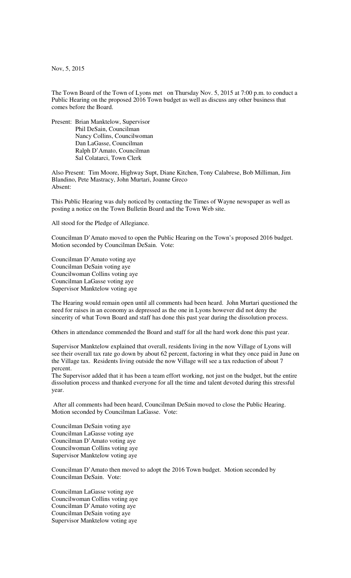Nov, 5, 2015

The Town Board of the Town of Lyons met on Thursday Nov. 5, 2015 at 7:00 p.m. to conduct a Public Hearing on the proposed 2016 Town budget as well as discuss any other business that comes before the Board.

Present: Brian Manktelow, Supervisor Phil DeSain, Councilman Nancy Collins, Councilwoman Dan LaGasse, Councilman Ralph D'Amato, Councilman Sal Colatarci, Town Clerk

Also Present: Tim Moore, Highway Supt, Diane Kitchen, Tony Calabrese, Bob Milliman, Jim Blandino, Pete Mastracy, John Murtari, Joanne Greco Absent:

This Public Hearing was duly noticed by contacting the Times of Wayne newspaper as well as posting a notice on the Town Bulletin Board and the Town Web site.

All stood for the Pledge of Allegiance.

Councilman D'Amato moved to open the Public Hearing on the Town's proposed 2016 budget. Motion seconded by Councilman DeSain. Vote:

Councilman D'Amato voting aye Councilman DeSain voting aye Councilwoman Collins voting aye Councilman LaGasse voting aye Supervisor Manktelow voting aye

The Hearing would remain open until all comments had been heard. John Murtari questioned the need for raises in an economy as depressed as the one in Lyons however did not deny the sincerity of what Town Board and staff has done this past year during the dissolution process.

Others in attendance commended the Board and staff for all the hard work done this past year.

Supervisor Manktelow explained that overall, residents living in the now Village of Lyons will see their overall tax rate go down by about 62 percent, factoring in what they once paid in June on the Village tax. Residents living outside the now Village will see a tax reduction of about 7 percent.

The Supervisor added that it has been a team effort working, not just on the budget, but the entire dissolution process and thanked everyone for all the time and talent devoted during this stressful year.

 After all comments had been heard, Councilman DeSain moved to close the Public Hearing. Motion seconded by Councilman LaGasse. Vote:

Councilman DeSain voting aye Councilman LaGasse voting aye Councilman D'Amato voting aye Councilwoman Collins voting aye Supervisor Manktelow voting aye

Councilman D'Amato then moved to adopt the 2016 Town budget. Motion seconded by Councilman DeSain. Vote:

Councilman LaGasse voting aye Councilwoman Collins voting aye Councilman D'Amato voting aye Councilman DeSain voting aye Supervisor Manktelow voting aye